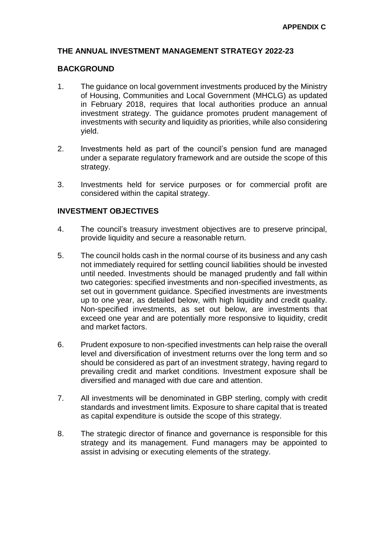#### **THE ANNUAL INVESTMENT MANAGEMENT STRATEGY 2022-23**

#### **BACKGROUND**

- 1. The guidance on local government investments produced by the Ministry of Housing, Communities and Local Government (MHCLG) as updated in February 2018, requires that local authorities produce an annual investment strategy. The guidance promotes prudent management of investments with security and liquidity as priorities, while also considering yield.
- 2. Investments held as part of the council's pension fund are managed under a separate regulatory framework and are outside the scope of this strategy.
- 3. Investments held for service purposes or for commercial profit are considered within the capital strategy.

#### **INVESTMENT OBJECTIVES**

- 4. The council's treasury investment objectives are to preserve principal, provide liquidity and secure a reasonable return.
- 5. The council holds cash in the normal course of its business and any cash not immediately required for settling council liabilities should be invested until needed. Investments should be managed prudently and fall within two categories: specified investments and non-specified investments, as set out in government guidance. Specified investments are investments up to one year, as detailed below, with high liquidity and credit quality. Non-specified investments, as set out below, are investments that exceed one year and are potentially more responsive to liquidity, credit and market factors.
- 6. Prudent exposure to non-specified investments can help raise the overall level and diversification of investment returns over the long term and so should be considered as part of an investment strategy, having regard to prevailing credit and market conditions. Investment exposure shall be diversified and managed with due care and attention.
- 7. All investments will be denominated in GBP sterling, comply with credit standards and investment limits. Exposure to share capital that is treated as capital expenditure is outside the scope of this strategy.
- 8. The strategic director of finance and governance is responsible for this strategy and its management. Fund managers may be appointed to assist in advising or executing elements of the strategy.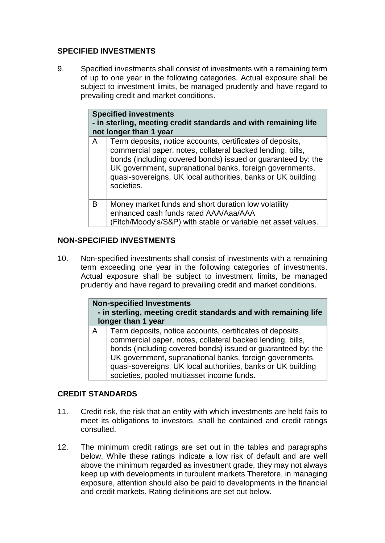## **SPECIFIED INVESTMENTS**

9. Specified investments shall consist of investments with a remaining term of up to one year in the following categories. Actual exposure shall be subject to investment limits, be managed prudently and have regard to prevailing credit and market conditions.

|   | <b>Specified investments</b><br>- in sterling, meeting credit standards and with remaining life<br>not longer than 1 year                                                                                                                                                                                                         |  |  |  |  |
|---|-----------------------------------------------------------------------------------------------------------------------------------------------------------------------------------------------------------------------------------------------------------------------------------------------------------------------------------|--|--|--|--|
| A | Term deposits, notice accounts, certificates of deposits,<br>commercial paper, notes, collateral backed lending, bills,<br>bonds (including covered bonds) issued or guaranteed by: the<br>UK government, supranational banks, foreign governments,<br>quasi-sovereigns, UK local authorities, banks or UK building<br>societies. |  |  |  |  |
| B | Money market funds and short duration low volatility<br>enhanced cash funds rated AAA/Aaa/AAA<br>(Fitch/Moody's/S&P) with stable or variable net asset values.                                                                                                                                                                    |  |  |  |  |

### **NON-SPECIFIED INVESTMENTS**

10. Non-specified investments shall consist of investments with a remaining term exceeding one year in the following categories of investments. Actual exposure shall be subject to investment limits, be managed prudently and have regard to prevailing credit and market conditions.

| <b>Non-specified Investments</b>                                |  |
|-----------------------------------------------------------------|--|
| - in sterling, meeting credit standards and with remaining life |  |
| longer than 1 year                                              |  |
|                                                                 |  |

A Term deposits, notice accounts, certificates of deposits, commercial paper, notes, collateral backed lending, bills, bonds (including covered bonds) issued or guaranteed by: the UK government, supranational banks, foreign governments, quasi-sovereigns, UK local authorities, banks or UK building societies, pooled multiasset income funds.

## **CREDIT STANDARDS**

- 11. Credit risk, the risk that an entity with which investments are held fails to meet its obligations to investors, shall be contained and credit ratings consulted.
- 12. The minimum credit ratings are set out in the tables and paragraphs below. While these ratings indicate a low risk of default and are well above the minimum regarded as investment grade, they may not always keep up with developments in turbulent markets Therefore, in managing exposure, attention should also be paid to developments in the financial and credit markets. Rating definitions are set out below.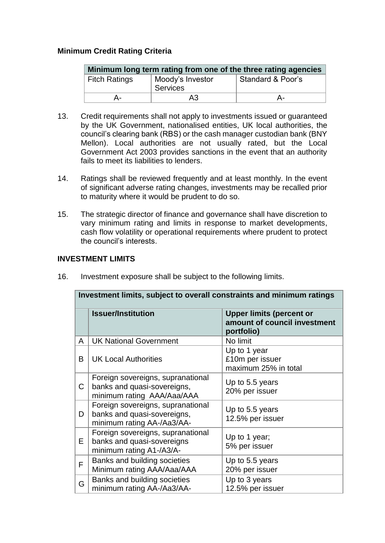## **Minimum Credit Rating Criteria**

| Minimum long term rating from one of the three rating agencies |                   |    |  |  |  |  |
|----------------------------------------------------------------|-------------------|----|--|--|--|--|
| <b>Fitch Ratings</b>                                           | Standard & Poor's |    |  |  |  |  |
| д.                                                             | A3                | А- |  |  |  |  |

- 13. Credit requirements shall not apply to investments issued or guaranteed by the UK Government, nationalised entities, UK local authorities, the council's clearing bank (RBS) or the cash manager custodian bank (BNY Mellon). Local authorities are not usually rated, but the Local Government Act 2003 provides sanctions in the event that an authority fails to meet its liabilities to lenders.
- 14. Ratings shall be reviewed frequently and at least monthly. In the event of significant adverse rating changes, investments may be recalled prior to maturity where it would be prudent to do so.
- 15. The strategic director of finance and governance shall have discretion to vary minimum rating and limits in response to market developments, cash flow volatility or operational requirements where prudent to protect the council's interests.

#### **INVESTMENT LIMITS**

|              | Investment limits, subject to overall constraints and minimum ratings                          |                                                                               |  |  |  |  |  |
|--------------|------------------------------------------------------------------------------------------------|-------------------------------------------------------------------------------|--|--|--|--|--|
|              | <b>Issuer/Institution</b>                                                                      | <b>Upper limits (percent or</b><br>amount of council investment<br>portfolio) |  |  |  |  |  |
| A            | <b>UK National Government</b>                                                                  | No limit                                                                      |  |  |  |  |  |
| B            | <b>UK Local Authorities</b>                                                                    | Up to 1 year<br>£10m per issuer<br>maximum 25% in total                       |  |  |  |  |  |
| $\mathsf{C}$ | Foreign sovereigns, supranational<br>banks and quasi-sovereigns,<br>minimum rating AAA/Aaa/AAA | Up to 5.5 years<br>20% per issuer                                             |  |  |  |  |  |
| D            | Foreign sovereigns, supranational<br>banks and quasi-sovereigns,<br>minimum rating AA-/Aa3/AA- | Up to 5.5 years<br>12.5% per issuer                                           |  |  |  |  |  |
| E.           | Foreign sovereigns, supranational<br>banks and quasi-sovereigns<br>minimum rating A1-/A3/A-    | Up to 1 year;<br>5% per issuer                                                |  |  |  |  |  |
| F            | Banks and building societies<br>Minimum rating AAA/Aaa/AAA                                     | Up to 5.5 years<br>20% per issuer                                             |  |  |  |  |  |
| G            | Banks and building societies<br>minimum rating AA-/Aa3/AA-                                     | Up to 3 years<br>12.5% per issuer                                             |  |  |  |  |  |

16. Investment exposure shall be subject to the following limits.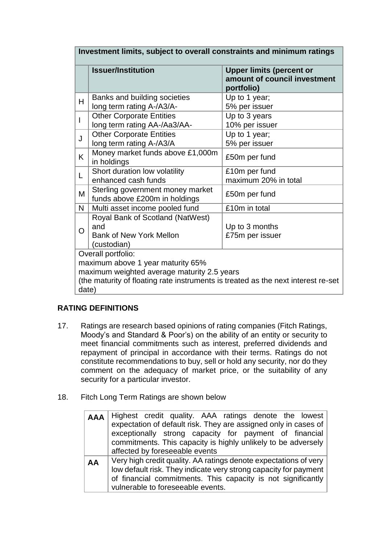| Investment limits, subject to overall constraints and minimum ratings                                                                                                                                |                                                                                                                               |                                                                               |  |  |  |  |
|------------------------------------------------------------------------------------------------------------------------------------------------------------------------------------------------------|-------------------------------------------------------------------------------------------------------------------------------|-------------------------------------------------------------------------------|--|--|--|--|
|                                                                                                                                                                                                      | <b>Issuer/Institution</b>                                                                                                     | <b>Upper limits (percent or</b><br>amount of council investment<br>portfolio) |  |  |  |  |
| H                                                                                                                                                                                                    | Banks and building societies<br>long term rating A-/A3/A-                                                                     | Up to 1 year;<br>5% per issuer                                                |  |  |  |  |
|                                                                                                                                                                                                      | <b>Other Corporate Entities</b><br>long term rating AA-/Aa3/AA-                                                               | Up to 3 years<br>10% per issuer                                               |  |  |  |  |
| J                                                                                                                                                                                                    | <b>Other Corporate Entities</b><br>long term rating A-/A3/A                                                                   | Up to 1 year;<br>5% per issuer                                                |  |  |  |  |
| K                                                                                                                                                                                                    | Money market funds above £1,000m<br>in holdings                                                                               | £50m per fund                                                                 |  |  |  |  |
| L                                                                                                                                                                                                    | Short duration low volatility<br>enhanced cash funds                                                                          | £10m per fund<br>maximum 20% in total                                         |  |  |  |  |
| M                                                                                                                                                                                                    | Sterling government money market<br>funds above £200m in holdings                                                             | £50m per fund                                                                 |  |  |  |  |
| N                                                                                                                                                                                                    | Multi asset income pooled fund                                                                                                | £10m in total                                                                 |  |  |  |  |
| $\Omega$                                                                                                                                                                                             | Royal Bank of Scotland (NatWest)<br>and<br>Up to 3 months<br><b>Bank of New York Mellon</b><br>£75m per issuer<br>(custodian) |                                                                               |  |  |  |  |
| Overall portfolio:<br>maximum above 1 year maturity 65%<br>maximum weighted average maturity 2.5 years<br>(the maturity of floating rate instruments is treated as the next interest re-set<br>date) |                                                                                                                               |                                                                               |  |  |  |  |

# **RATING DEFINITIONS**

- 17. Ratings are research based opinions of rating companies (Fitch Ratings, Moody's and Standard & Poor's) on the ability of an entity or security to meet financial commitments such as interest, preferred dividends and repayment of principal in accordance with their terms. Ratings do not constitute recommendations to buy, sell or hold any security, nor do they comment on the adequacy of market price, or the suitability of any security for a particular investor.
- 18. Fitch Long Term Ratings are shown below

| <b>AAA</b> | Highest credit quality. AAA ratings denote the lowest            |  |  |  |  |  |  |  |  |
|------------|------------------------------------------------------------------|--|--|--|--|--|--|--|--|
|            | expectation of default risk. They are assigned only in cases of  |  |  |  |  |  |  |  |  |
|            | exceptionally strong capacity for payment of financial           |  |  |  |  |  |  |  |  |
|            | commitments. This capacity is highly unlikely to be adversely    |  |  |  |  |  |  |  |  |
|            | affected by foreseeable events                                   |  |  |  |  |  |  |  |  |
| AA         | Very high credit quality. AA ratings denote expectations of very |  |  |  |  |  |  |  |  |
|            | low default risk. They indicate very strong capacity for payment |  |  |  |  |  |  |  |  |
|            | of financial commitments. This capacity is not significantly     |  |  |  |  |  |  |  |  |
|            | vulnerable to foreseeable events.                                |  |  |  |  |  |  |  |  |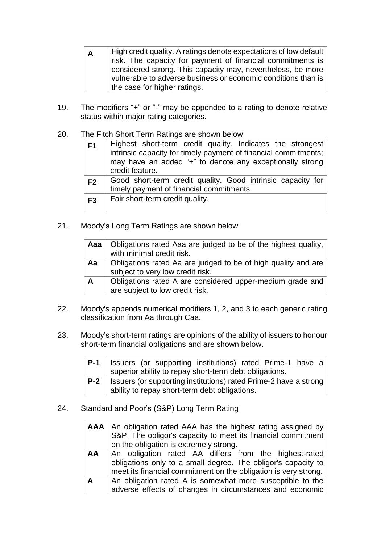| A | High credit quality. A ratings denote expectations of low default |
|---|-------------------------------------------------------------------|
|   | risk. The capacity for payment of financial commitments is        |
|   | considered strong. This capacity may, nevertheless, be more       |
|   | vulnerable to adverse business or economic conditions than is     |
|   | the case for higher ratings.                                      |

- 19. The modifiers "+" or "-" may be appended to a rating to denote relative status within major rating categories.
- 20. The Fitch Short Term Ratings are shown below

| F <sub>1</sub> | Highest short-term credit quality. Indicates the strongest<br>intrinsic capacity for timely payment of financial commitments;<br>may have an added "+" to denote any exceptionally strong<br>credit feature. |
|----------------|--------------------------------------------------------------------------------------------------------------------------------------------------------------------------------------------------------------|
| F <sub>2</sub> | Good short-term credit quality. Good intrinsic capacity for<br>timely payment of financial commitments                                                                                                       |
| F <sub>3</sub> | Fair short-term credit quality.                                                                                                                                                                              |

21. Moody's Long Term Ratings are shown below

|              | Aaa   Obligations rated Aaa are judged to be of the highest quality,<br>with minimal credit risk. |
|--------------|---------------------------------------------------------------------------------------------------|
| Aa           | Obligations rated Aa are judged to be of high quality and are<br>subject to very low credit risk. |
| $\mathsf{A}$ | Obligations rated A are considered upper-medium grade and<br>are subject to low credit risk.      |

- 22. Moody's appends numerical modifiers 1, 2, and 3 to each generic rating classification from Aa through Caa.
- 23. Moody's short-term ratings are opinions of the ability of issuers to honour short-term financial obligations and are shown below.

| $P-1$ | Issuers (or supporting institutions) rated Prime-1 have a                                                           |
|-------|---------------------------------------------------------------------------------------------------------------------|
|       | superior ability to repay short-term debt obligations.                                                              |
| $P-2$ | Issuers (or supporting institutions) rated Prime-2 have a strong  <br>ability to repay short-term debt obligations. |

24. Standard and Poor's (S&P) Long Term Rating

|           | AAA   An obligation rated AAA has the highest rating assigned by |  |  |  |  |  |  |  |  |
|-----------|------------------------------------------------------------------|--|--|--|--|--|--|--|--|
|           | S&P. The obligor's capacity to meet its financial commitment     |  |  |  |  |  |  |  |  |
|           | on the obligation is extremely strong.                           |  |  |  |  |  |  |  |  |
| <b>AA</b> | An obligation rated AA differs from the highest-rated            |  |  |  |  |  |  |  |  |
|           | obligations only to a small degree. The obligor's capacity to    |  |  |  |  |  |  |  |  |
|           | meet its financial commitment on the obligation is very strong.  |  |  |  |  |  |  |  |  |
| А         | An obligation rated A is somewhat more susceptible to the        |  |  |  |  |  |  |  |  |
|           | adverse effects of changes in circumstances and economic         |  |  |  |  |  |  |  |  |